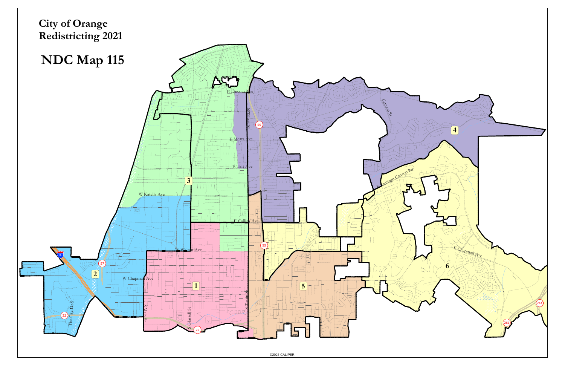